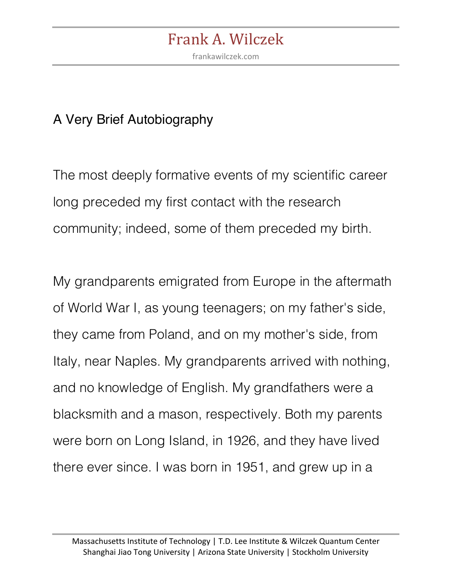frankawilczek.com

#### A Very Brief Autobiography

The most deeply formative events of my scientific career long preceded my first contact with the research community; indeed, some of them preceded my birth.

My grandparents emigrated from Europe in the aftermath of World War I, as young teenagers; on my father's side, they came from Poland, and on my mother's side, from Italy, near Naples. My grandparents arrived with nothing, and no knowledge of English. My grandfathers were a blacksmith and a mason, respectively. Both my parents were born on Long Island, in 1926, and they have lived there ever since. I was born in 1951, and grew up in a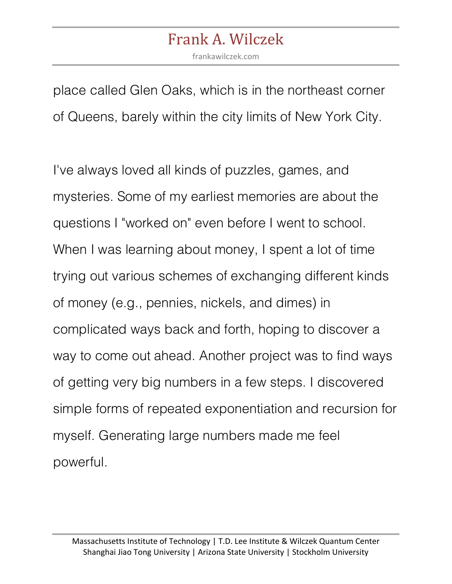frankawilczek.com

place called Glen Oaks, which is in the northeast corner of Queens, barely within the city limits of New York City.

I've always loved all kinds of puzzles, games, and mysteries. Some of my earliest memories are about the questions I "worked on" even before I went to school. When I was learning about money, I spent a lot of time trying out various schemes of exchanging different kinds of money (e.g., pennies, nickels, and dimes) in complicated ways back and forth, hoping to discover a way to come out ahead. Another project was to find ways of getting very big numbers in a few steps. I discovered simple forms of repeated exponentiation and recursion for myself. Generating large numbers made me feel powerful.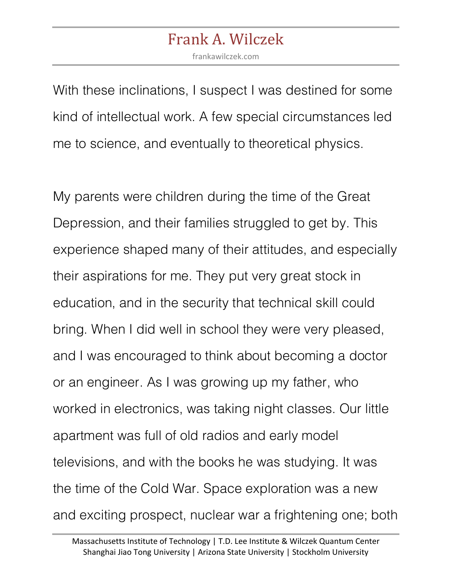frankawilczek.com

With these inclinations, I suspect I was destined for some kind of intellectual work. A few special circumstances led me to science, and eventually to theoretical physics.

My parents were children during the time of the Great Depression, and their families struggled to get by. This experience shaped many of their attitudes, and especially their aspirations for me. They put very great stock in education, and in the security that technical skill could bring. When I did well in school they were very pleased, and I was encouraged to think about becoming a doctor or an engineer. As I was growing up my father, who worked in electronics, was taking night classes. Our little apartment was full of old radios and early model televisions, and with the books he was studying. It was the time of the Cold War. Space exploration was a new and exciting prospect, nuclear war a frightening one; both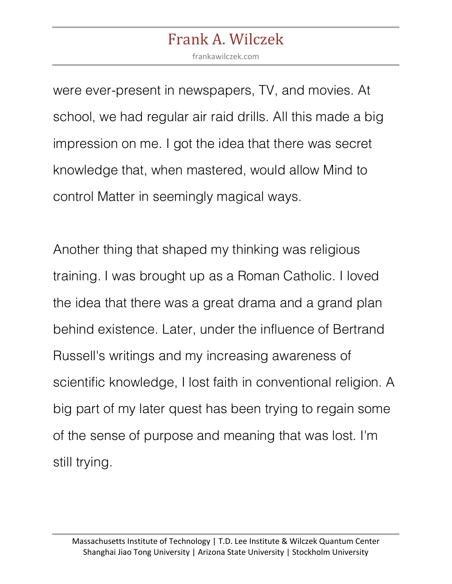frankawilczek.com

were ever-present in newspapers, TV, and movies. At school, we had regular air raid drills. All this made a big impression on me. I got the idea that there was secret knowledge that, when mastered, would allow Mind to control Matter in seemingly magical ways.

Another thing that shaped my thinking was religious training. I was brought up as a Roman Catholic. I loved the idea that there was a great drama and a grand plan behind existence. Later, under the influence of Bertrand Russell's writings and my increasing awareness of scientific knowledge, I lost faith in conventional religion. A big part of my later quest has been trying to regain some of the sense of purpose and meaning that was lost. I'm still trying.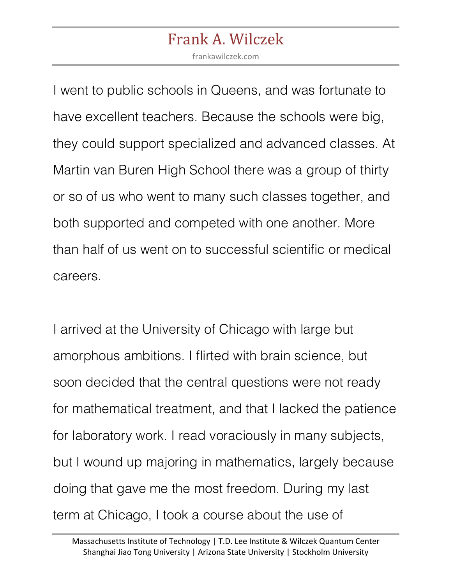frankawilczek.com

I went to public schools in Queens, and was fortunate to have excellent teachers. Because the schools were big, they could support specialized and advanced classes. At Martin van Buren High School there was a group of thirty or so of us who went to many such classes together, and both supported and competed with one another. More than half of us went on to successful scientific or medical careers.

I arrived at the University of Chicago with large but amorphous ambitions. I flirted with brain science, but soon decided that the central questions were not ready for mathematical treatment, and that I lacked the patience for laboratory work. I read voraciously in many subjects, but I wound up majoring in mathematics, largely because doing that gave me the most freedom. During my last term at Chicago, I took a course about the use of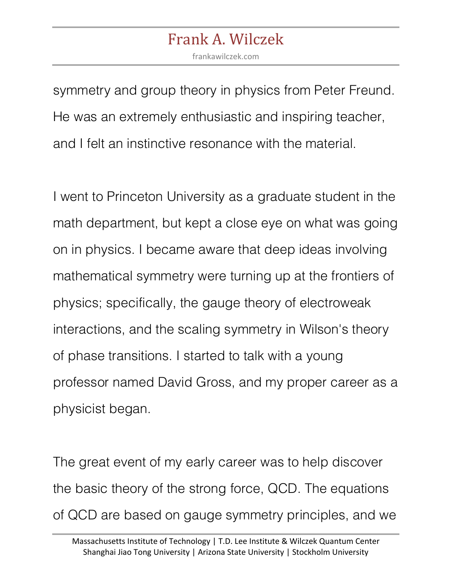frankawilczek.com

symmetry and group theory in physics from Peter Freund. He was an extremely enthusiastic and inspiring teacher, and I felt an instinctive resonance with the material.

I went to Princeton University as a graduate student in the math department, but kept a close eye on what was going on in physics. I became aware that deep ideas involving mathematical symmetry were turning up at the frontiers of physics; specifically, the gauge theory of electroweak interactions, and the scaling symmetry in Wilson's theory of phase transitions. I started to talk with a young professor named David Gross, and my proper career as a physicist began.

The great event of my early career was to help discover the basic theory of the strong force, QCD. The equations of QCD are based on gauge symmetry principles, and we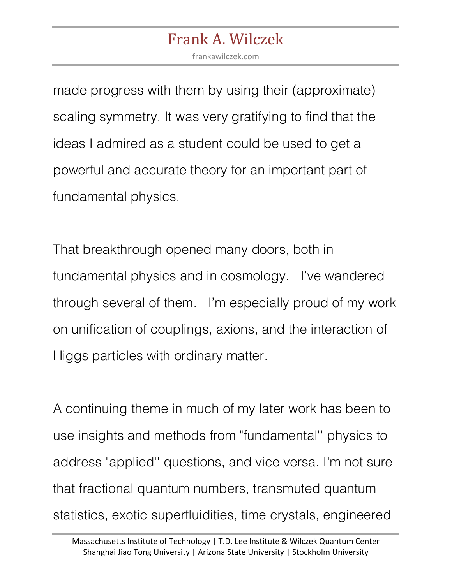frankawilczek.com

made progress with them by using their (approximate) scaling symmetry. It was very gratifying to find that the ideas I admired as a student could be used to get a powerful and accurate theory for an important part of fundamental physics.

That breakthrough opened many doors, both in fundamental physics and in cosmology. I've wandered through several of them. I'm especially proud of my work on unification of couplings, axions, and the interaction of Higgs particles with ordinary matter.

A continuing theme in much of my later work has been to use insights and methods from "fundamental'' physics to address "applied'' questions, and vice versa. I'm not sure that fractional quantum numbers, transmuted quantum statistics, exotic superfluidities, time crystals, engineered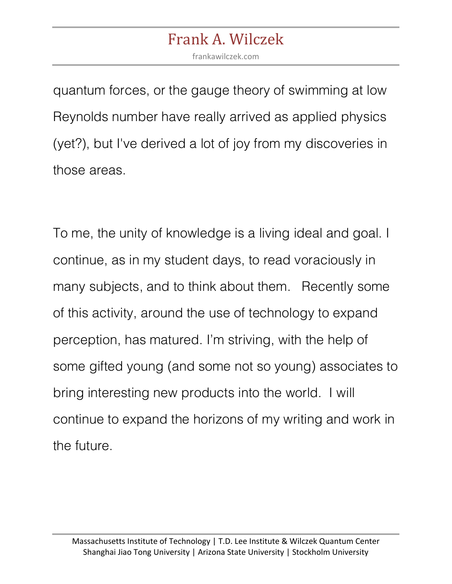frankawilczek.com

quantum forces, or the gauge theory of swimming at low Reynolds number have really arrived as applied physics (yet?), but I've derived a lot of joy from my discoveries in those areas.

To me, the unity of knowledge is a living ideal and goal. I continue, as in my student days, to read voraciously in many subjects, and to think about them. Recently some of this activity, around the use of technology to expand perception, has matured. I'm striving, with the help of some gifted young (and some not so young) associates to bring interesting new products into the world. I will continue to expand the horizons of my writing and work in the future.